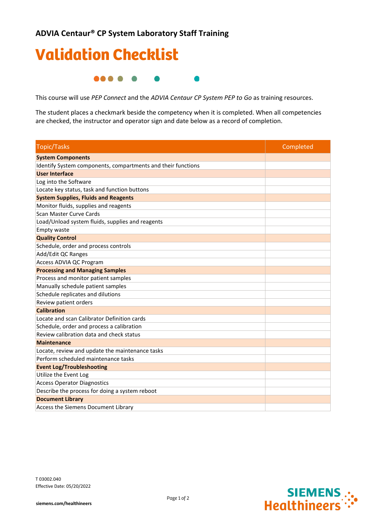## Validation Checklist ....  $\bullet$ D

This course will use *PEP Connect* and the *ADVIA Centaur CP System PEP to Go* as training resources.

The student places a checkmark beside the competency when it is completed. When all competencies are checked, the instructor and operator sign and date below as a record of completion.

| <b>Topic/Tasks</b>                                           | Completed |
|--------------------------------------------------------------|-----------|
| <b>System Components</b>                                     |           |
| Identify System components, compartments and their functions |           |
| <b>User Interface</b>                                        |           |
| Log into the Software                                        |           |
| Locate key status, task and function buttons                 |           |
| <b>System Supplies, Fluids and Reagents</b>                  |           |
| Monitor fluids, supplies and reagents                        |           |
| Scan Master Curve Cards                                      |           |
| Load/Unload system fluids, supplies and reagents             |           |
| Empty waste                                                  |           |
| <b>Quality Control</b>                                       |           |
| Schedule, order and process controls                         |           |
| Add/Edit QC Ranges                                           |           |
| Access ADVIA QC Program                                      |           |
| <b>Processing and Managing Samples</b>                       |           |
| Process and monitor patient samples                          |           |
| Manually schedule patient samples                            |           |
| Schedule replicates and dilutions                            |           |
| Review patient orders                                        |           |
| <b>Calibration</b>                                           |           |
| Locate and scan Calibrator Definition cards                  |           |
| Schedule, order and process a calibration                    |           |
| Review calibration data and check status                     |           |
| <b>Maintenance</b>                                           |           |
| Locate, review and update the maintenance tasks              |           |
| Perform scheduled maintenance tasks                          |           |
| <b>Event Log/Troubleshooting</b>                             |           |
| Utilize the Event Log                                        |           |
| <b>Access Operator Diagnostics</b>                           |           |
| Describe the process for doing a system reboot               |           |
| <b>Document Library</b>                                      |           |
| Access the Siemens Document Library                          |           |